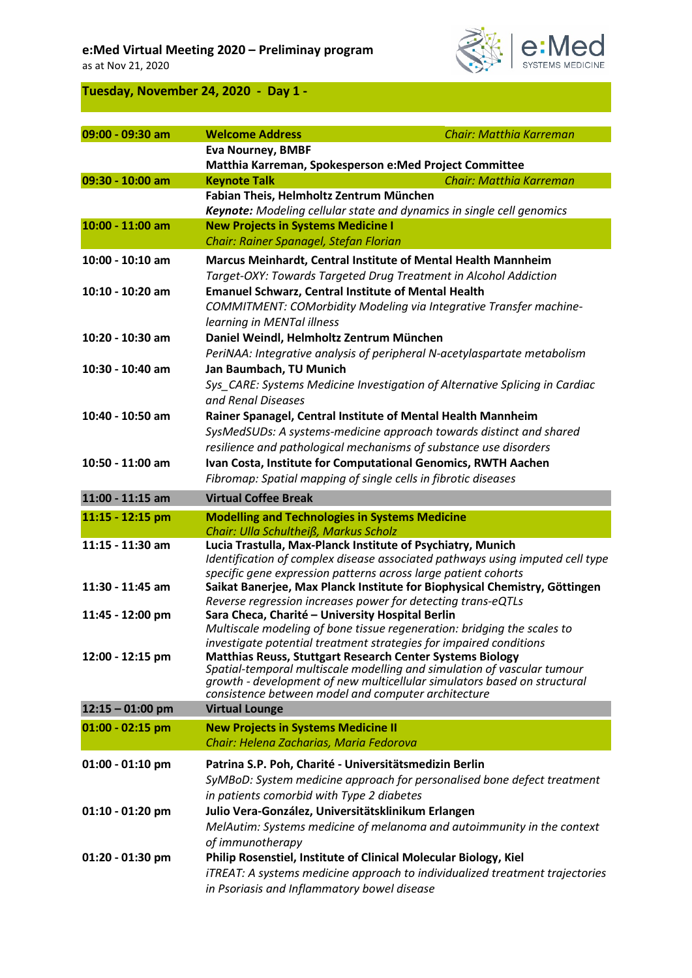### **e:Med Virtual Meeting 2020 – Preliminay program**

as at Nov 21, 2020



## **Tuesday, November 24, 2020 - Day 1 -**

| 09:00 - 09:30 am   | <b>Welcome Address</b>                                                                                                                              | Chair: Matthia Karreman |
|--------------------|-----------------------------------------------------------------------------------------------------------------------------------------------------|-------------------------|
|                    | <b>Eva Nourney, BMBF</b>                                                                                                                            |                         |
|                    | Matthia Karreman, Spokesperson e:Med Project Committee                                                                                              |                         |
| 09:30 - 10:00 am   | <b>Keynote Talk</b>                                                                                                                                 | Chair: Matthia Karreman |
|                    | Fabian Theis, Helmholtz Zentrum München<br>Keynote: Modeling cellular state and dynamics in single cell genomics                                    |                         |
| 10:00 - 11:00 am   | <b>New Projects in Systems Medicine I</b>                                                                                                           |                         |
|                    | Chair: Rainer Spanagel, Stefan Florian                                                                                                              |                         |
| 10:00 - 10:10 am   | Marcus Meinhardt, Central Institute of Mental Health Mannheim                                                                                       |                         |
|                    | Target-OXY: Towards Targeted Drug Treatment in Alcohol Addiction                                                                                    |                         |
| 10:10 - 10:20 am   | <b>Emanuel Schwarz, Central Institute of Mental Health</b>                                                                                          |                         |
|                    | COMMITMENT: COMorbidity Modeling via Integrative Transfer machine-                                                                                  |                         |
|                    | learning in MENTal illness                                                                                                                          |                         |
| 10:20 - 10:30 am   | Daniel Weindl, Helmholtz Zentrum München                                                                                                            |                         |
|                    | PeriNAA: Integrative analysis of peripheral N-acetylaspartate metabolism                                                                            |                         |
| 10:30 - 10:40 am   | Jan Baumbach, TU Munich                                                                                                                             |                         |
|                    | Sys_CARE: Systems Medicine Investigation of Alternative Splicing in Cardiac<br>and Renal Diseases                                                   |                         |
| 10:40 - 10:50 am   | Rainer Spanagel, Central Institute of Mental Health Mannheim                                                                                        |                         |
|                    | SysMedSUDs: A systems-medicine approach towards distinct and shared                                                                                 |                         |
|                    | resilience and pathological mechanisms of substance use disorders                                                                                   |                         |
| 10:50 - 11:00 am   | Ivan Costa, Institute for Computational Genomics, RWTH Aachen                                                                                       |                         |
|                    | Fibromap: Spatial mapping of single cells in fibrotic diseases                                                                                      |                         |
| 11:00 - 11:15 am   | <b>Virtual Coffee Break</b>                                                                                                                         |                         |
| 11:15 - 12:15 pm   | <b>Modelling and Technologies in Systems Medicine</b>                                                                                               |                         |
| 11:15 - 11:30 am   | Chair: Ulla Schultheiß, Markus Scholz                                                                                                               |                         |
|                    | Lucia Trastulla, Max-Planck Institute of Psychiatry, Munich<br>Identification of complex disease associated pathways using imputed cell type        |                         |
|                    | specific gene expression patterns across large patient cohorts                                                                                      |                         |
| 11:30 - 11:45 am   | Saikat Banerjee, Max Planck Institute for Biophysical Chemistry, Göttingen                                                                          |                         |
|                    | Reverse regression increases power for detecting trans-eQTLs                                                                                        |                         |
| 11:45 - 12:00 pm   | Sara Checa, Charité - University Hospital Berlin<br>Multiscale modeling of bone tissue regeneration: bridging the scales to                         |                         |
|                    | investigate potential treatment strategies for impaired conditions                                                                                  |                         |
| 12:00 - 12:15 pm   | <b>Matthias Reuss, Stuttgart Research Center Systems Biology</b>                                                                                    |                         |
|                    | Spatial-temporal multiscale modelling and simulation of vascular tumour<br>growth - development of new multicellular simulators based on structural |                         |
|                    | consistence between model and computer architecture                                                                                                 |                         |
| $12:15 - 01:00$ pm | <b>Virtual Lounge</b>                                                                                                                               |                         |
| 01:00 - 02:15 pm   | <b>New Projects in Systems Medicine II</b>                                                                                                          |                         |
|                    | Chair: Helena Zacharias, Maria Fedorova                                                                                                             |                         |
| $01:00 - 01:10$ pm | Patrina S.P. Poh, Charité - Universitätsmedizin Berlin                                                                                              |                         |
|                    | SyMBoD: System medicine approach for personalised bone defect treatment                                                                             |                         |
|                    | in patients comorbid with Type 2 diabetes                                                                                                           |                         |
| 01:10 - 01:20 pm   | Julio Vera-González, Universitätsklinikum Erlangen                                                                                                  |                         |
|                    | MelAutim: Systems medicine of melanoma and autoimmunity in the context                                                                              |                         |
| 01:20 - 01:30 pm   | of immunotherapy<br>Philip Rosenstiel, Institute of Clinical Molecular Biology, Kiel                                                                |                         |
|                    | iTREAT: A systems medicine approach to individualized treatment trajectories                                                                        |                         |
|                    | in Psoriasis and Inflammatory bowel disease                                                                                                         |                         |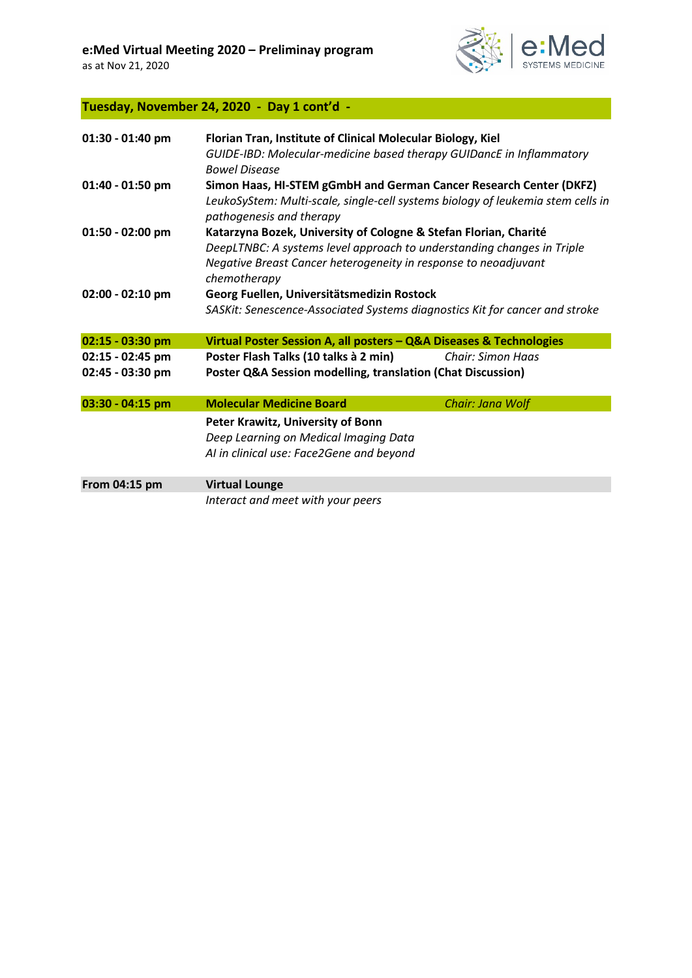

#### **Tuesday, November 24, 2020 - Day 1 cont'd -**

| 01:30 - 01:40 pm | Florian Tran, Institute of Clinical Molecular Biology, Kiel<br>GUIDE-IBD: Molecular-medicine based therapy GUIDancE in Inflammatory<br><b>Bowel Disease</b>                                                                   |                          |
|------------------|-------------------------------------------------------------------------------------------------------------------------------------------------------------------------------------------------------------------------------|--------------------------|
| 01:40 - 01:50 pm | Simon Haas, HI-STEM gGmbH and German Cancer Research Center (DKFZ)<br>LeukoSyStem: Multi-scale, single-cell systems biology of leukemia stem cells in<br>pathogenesis and therapy                                             |                          |
| 01:50 - 02:00 pm | Katarzyna Bozek, University of Cologne & Stefan Florian, Charité<br>DeepLTNBC: A systems level approach to understanding changes in Triple<br>Negative Breast Cancer heterogeneity in response to neoadjuvant<br>chemotherapy |                          |
| 02:00 - 02:10 pm | Georg Fuellen, Universitätsmedizin Rostock<br>SASKit: Senescence-Associated Systems diagnostics Kit for cancer and stroke                                                                                                     |                          |
| 02:15 - 03:30 pm | Virtual Poster Session A, all posters - Q&A Diseases & Technologies                                                                                                                                                           |                          |
| 02:15 - 02:45 pm | Poster Flash Talks (10 talks à 2 min)                                                                                                                                                                                         | <b>Chair: Simon Haas</b> |
| 02:45 - 03:30 pm | Poster Q&A Session modelling, translation (Chat Discussion)                                                                                                                                                                   |                          |
| 03:30 - 04:15 pm | <b>Molecular Medicine Board</b>                                                                                                                                                                                               | Chair: Jana Wolf         |
|                  | Peter Krawitz, University of Bonn<br>Deep Learning on Medical Imaging Data<br>AI in clinical use: Face2Gene and beyond                                                                                                        |                          |
| From 04:15 pm    | <b>Virtual Lounge</b>                                                                                                                                                                                                         |                          |
|                  | Interact and meet with your peers                                                                                                                                                                                             |                          |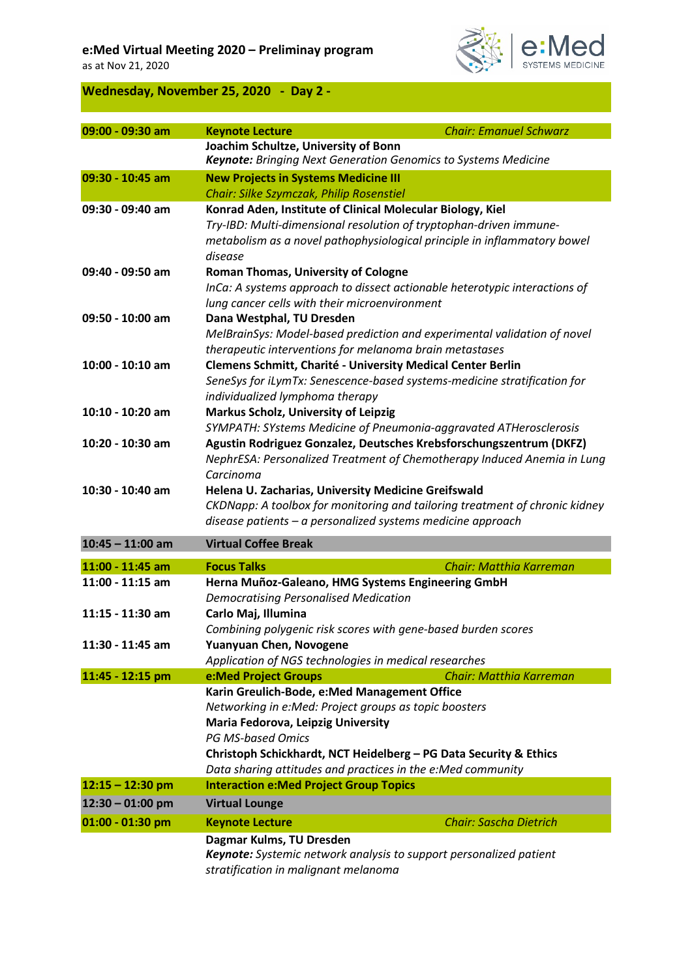#### **e:Med Virtual Meeting 2020 – Preliminay program**

as at Nov 21, 2020



## **Wednesday, November 25, 2020 - Day 2 -**

| 09:00 - 09:30 am   | <b>Keynote Lecture</b>                                                                                        | <b>Chair: Emanuel Schwarz</b> |
|--------------------|---------------------------------------------------------------------------------------------------------------|-------------------------------|
|                    | Joachim Schultze, University of Bonn<br><b>Keynote:</b> Bringing Next Generation Genomics to Systems Medicine |                               |
| 09:30 - 10:45 am   | <b>New Projects in Systems Medicine III</b>                                                                   |                               |
|                    | Chair: Silke Szymczak, Philip Rosenstiel                                                                      |                               |
| 09:30 - 09:40 am   | Konrad Aden, Institute of Clinical Molecular Biology, Kiel                                                    |                               |
|                    | Try-IBD: Multi-dimensional resolution of tryptophan-driven immune-                                            |                               |
|                    | metabolism as a novel pathophysiological principle in inflammatory bowel                                      |                               |
|                    | disease                                                                                                       |                               |
| 09:40 - 09:50 am   | <b>Roman Thomas, University of Cologne</b>                                                                    |                               |
|                    | InCa: A systems approach to dissect actionable heterotypic interactions of                                    |                               |
|                    | lung cancer cells with their microenvironment                                                                 |                               |
| 09:50 - 10:00 am   | Dana Westphal, TU Dresden                                                                                     |                               |
|                    | MelBrainSys: Model-based prediction and experimental validation of novel                                      |                               |
|                    | therapeutic interventions for melanoma brain metastases                                                       |                               |
| 10:00 - 10:10 am   | Clemens Schmitt, Charité - University Medical Center Berlin                                                   |                               |
|                    | SeneSys for iLymTx: Senescence-based systems-medicine stratification for                                      |                               |
|                    | individualized lymphoma therapy                                                                               |                               |
| 10:10 - 10:20 am   | <b>Markus Scholz, University of Leipzig</b>                                                                   |                               |
|                    | SYMPATH: SYstems Medicine of Pneumonia-aggravated ATHerosclerosis                                             |                               |
| 10:20 - 10:30 am   | Agustin Rodriguez Gonzalez, Deutsches Krebsforschungszentrum (DKFZ)                                           |                               |
|                    | NephrESA: Personalized Treatment of Chemotherapy Induced Anemia in Lung                                       |                               |
|                    | Carcinoma                                                                                                     |                               |
| 10:30 - 10:40 am   | Helena U. Zacharias, University Medicine Greifswald                                                           |                               |
|                    | CKDNapp: A toolbox for monitoring and tailoring treatment of chronic kidney                                   |                               |
|                    | disease patients $-$ a personalized systems medicine approach                                                 |                               |
| $10:45 - 11:00$ am | <b>Virtual Coffee Break</b>                                                                                   |                               |
|                    | <b>Focus Talks</b>                                                                                            | Chair: Matthia Karreman       |
| 11:00 - 11:45 am   |                                                                                                               |                               |
| 11:00 - 11:15 am   | Herna Muñoz-Galeano, HMG Systems Engineering GmbH                                                             |                               |
| 11:15 - 11:30 am   | <b>Democratising Personalised Medication</b>                                                                  |                               |
|                    | Carlo Maj, Illumina                                                                                           |                               |
|                    | Combining polygenic risk scores with gene-based burden scores                                                 |                               |
| 11:30 - 11:45 am   | Yuanyuan Chen, Novogene                                                                                       |                               |
|                    | Application of NGS technologies in medical researches                                                         | Chair: Matthia Karreman       |
| 11:45 - 12:15 pm   | e:Med Project Groups<br>Karin Greulich-Bode, e:Med Management Office                                          |                               |
|                    | Networking in e:Med: Project groups as topic boosters                                                         |                               |
|                    | Maria Fedorova, Leipzig University                                                                            |                               |
|                    | <b>PG MS-based Omics</b>                                                                                      |                               |
|                    | Christoph Schickhardt, NCT Heidelberg - PG Data Security & Ethics                                             |                               |
|                    | Data sharing attitudes and practices in the e:Med community                                                   |                               |
| $12:15 - 12:30$ pm | <b>Interaction e: Med Project Group Topics</b>                                                                |                               |
| $12:30 - 01:00$ pm | <b>Virtual Lounge</b>                                                                                         |                               |
|                    |                                                                                                               |                               |
| 01:00 - 01:30 pm   | <b>Keynote Lecture</b>                                                                                        | <b>Chair: Sascha Dietrich</b> |
|                    | Dagmar Kulms, TU Dresden                                                                                      |                               |
|                    | Keynote: Systemic network analysis to support personalized patient                                            |                               |
|                    | stratification in malignant melanoma                                                                          |                               |